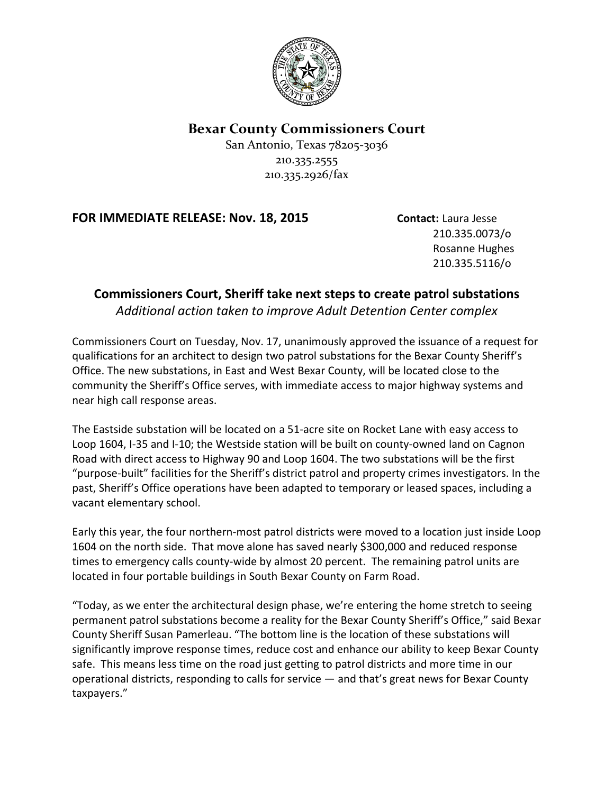

## **Bexar County Commissioners Court**

San Antonio, Texas 78205-3036 210.335.2555 210.335.2926/fax

## **FOR IMMEDIATE RELEASE: Nov. 18, 2015 Contact: Laura Jesse**

210.335.0073/o Rosanne Hughes 210.335.5116/o

## **Commissioners Court, Sheriff take next steps to create patrol substations**

*Additional action taken to improve Adult Detention Center complex*

Commissioners Court on Tuesday, Nov. 17, unanimously approved the issuance of a request for qualifications for an architect to design two patrol substations for the Bexar County Sheriff's Office. The new substations, in East and West Bexar County, will be located close to the community the Sheriff's Office serves, with immediate access to major highway systems and near high call response areas.

The Eastside substation will be located on a 51-acre site on Rocket Lane with easy access to Loop 1604, I-35 and I-10; the Westside station will be built on county-owned land on Cagnon Road with direct access to Highway 90 and Loop 1604. The two substations will be the first "purpose-built" facilities for the Sheriff's district patrol and property crimes investigators. In the past, Sheriff's Office operations have been adapted to temporary or leased spaces, including a vacant elementary school.

Early this year, the four northern-most patrol districts were moved to a location just inside Loop 1604 on the north side. That move alone has saved nearly \$300,000 and reduced response times to emergency calls county-wide by almost 20 percent. The remaining patrol units are located in four portable buildings in South Bexar County on Farm Road.

"Today, as we enter the architectural design phase, we're entering the home stretch to seeing permanent patrol substations become a reality for the Bexar County Sheriff's Office," said Bexar County Sheriff Susan Pamerleau. "The bottom line is the location of these substations will significantly improve response times, reduce cost and enhance our ability to keep Bexar County safe. This means less time on the road just getting to patrol districts and more time in our operational districts, responding to calls for service — and that's great news for Bexar County taxpayers."